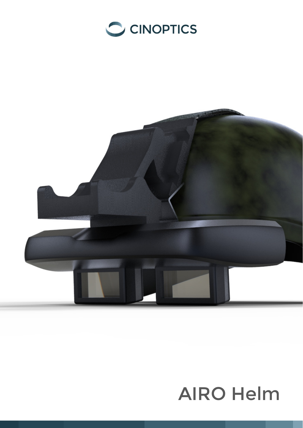



# **AIRO Helm**